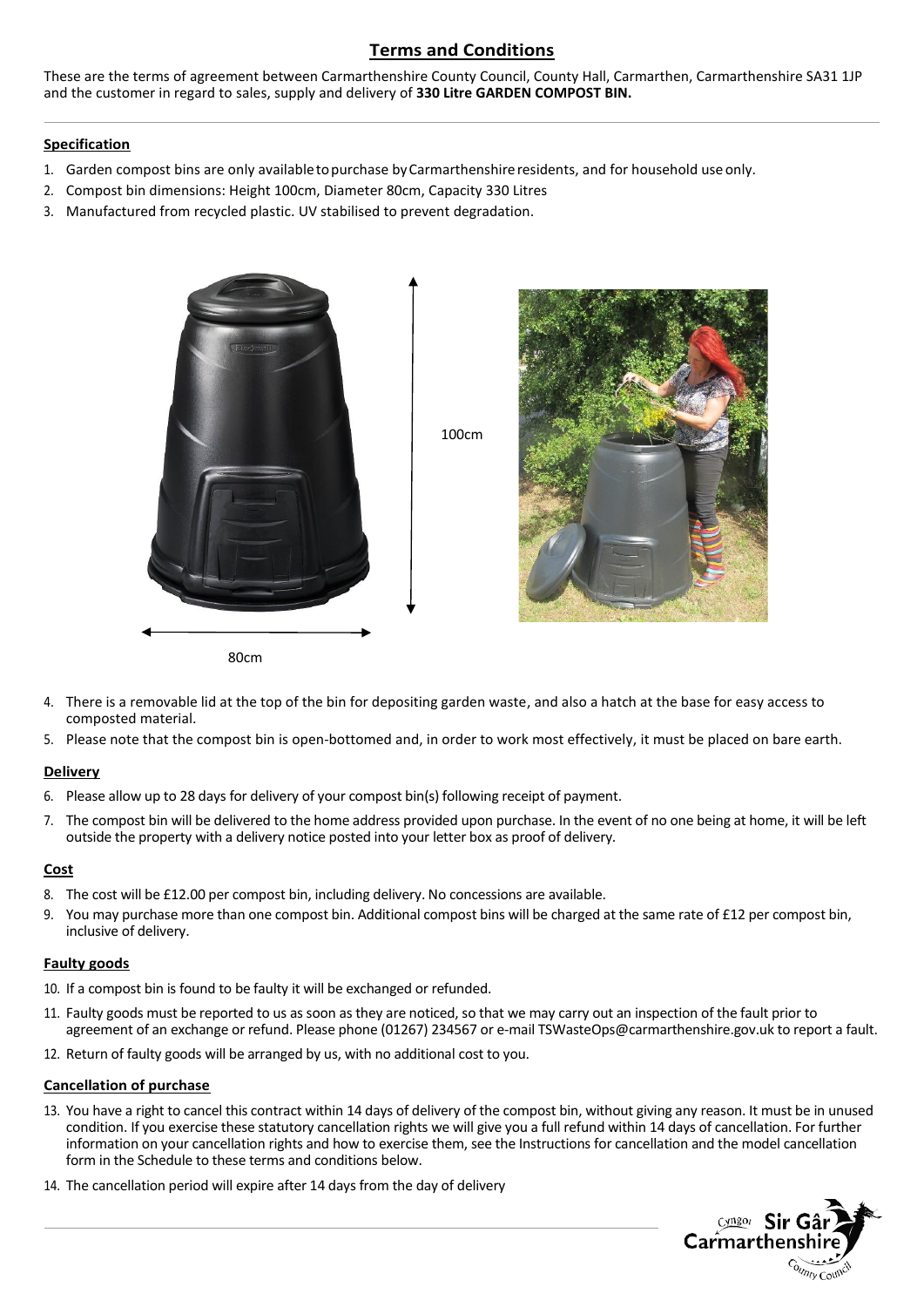### **Terms and Conditions**

These are the terms of agreement between Carmarthenshire County Council, County Hall, Carmarthen, Carmarthenshire SA31 1JP and the customer in regard to sales, supply and delivery of **330 Litre GARDEN COMPOST BIN.**

#### **Specification**

- 1. Garden compost bins are only availabletopurchase byCarmarthenshireresidents, and for household useonly.
- 2. Compost bin dimensions: Height 100cm, Diameter 80cm, Capacity 330 Litres
- 3. Manufactured from recycled plastic. UV stabilised to prevent degradation.



- 4. There is a removable lid at the top of the bin for depositing garden waste, and also a hatch at the base for easy access to composted material.
- 5. Please note that the compost bin is open-bottomed and, in order to work most effectively, it must be placed on bare earth.

#### **Delivery**

- 6. Please allow up to 28 days for delivery of your compost bin(s) following receipt of payment.
- 7. The compost bin will be delivered to the home address provided upon purchase. In the event of no one being at home, it will be left outside the property with a delivery notice posted into your letter box as proof of delivery.

#### **Cost**

- 8. The cost will be £12.00 per compost bin, including delivery. No concessions are available.
- 9. You may purchase more than one compost bin. Additional compost bins will be charged at the same rate of £12 per compost bin, inclusive of delivery.

#### **Faulty goods**

- 10. If a compost bin is found to be faulty it will be exchanged or refunded.
- 11. Faulty goods must be reported to us as soon as they are noticed, so that we may carry out an inspection of the fault prior to agreement of an exchange or refund. Please phone (01267) 234567 or e-mail TSWasteOps@carmarthenshire.gov.uk to report a fault.
- 12. Return of faulty goods will be arranged by us, with no additional cost to you.

#### **Cancellation of purchase**

- 13. You have a right to cancel this contract within 14 days of delivery of the compost bin, without giving any reason. It must be in unused condition. If you exercise these statutory cancellation rights we will give you a full refund within 14 days of cancellation. For further information on your cancellation rights and how to exercise them, see the Instructions for cancellation and the model cancellation form in the Schedule to these terms and conditions below.
- 14. The cancellation period will expire after 14 days from the day of delivery